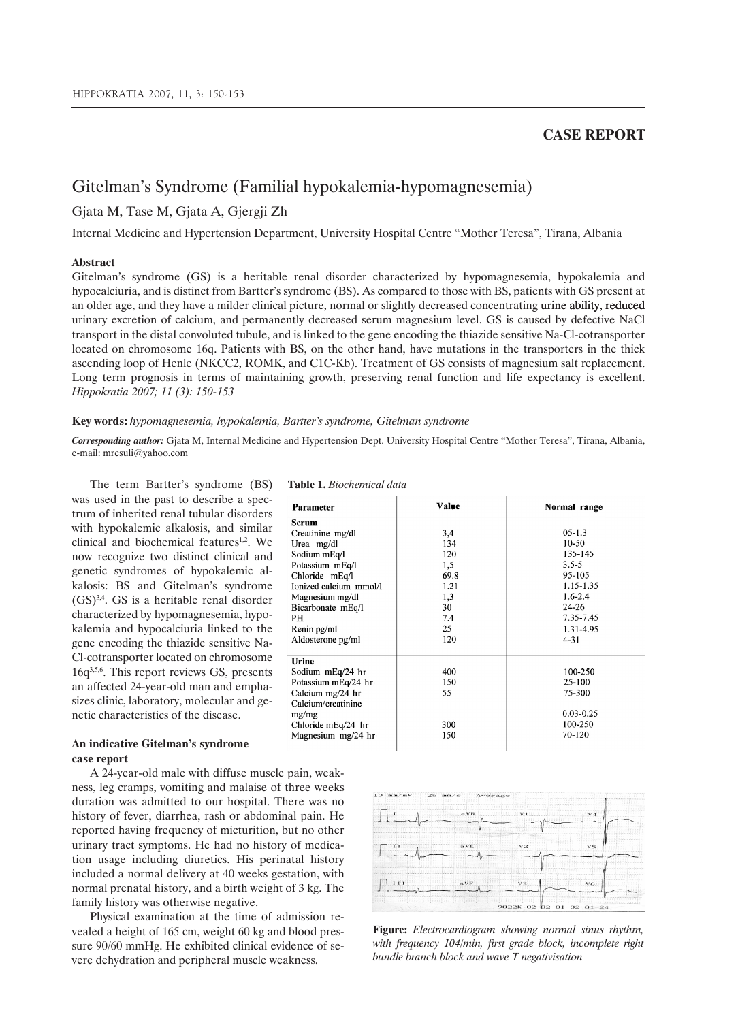### **CASE REPORT**

# Gitelman's Syndrome (Familial hypokalemia-hypomagnesemia)

## Gjata M, Tase M, Gjata A, Gjergji Zh

Internal Medicine and Hypertension Department, University Hospital Centre "Mother Teresa", Tirana, Albania

#### **Abstract**

Gitelman's syndrome (GS) is a heritable renal disorder characterized by hypomagnesemia, hypokalemia and hypocalciuria, and is distinct from Bartter's syndrome (BS). As compared to those with BS, patients with GS present at an older age, and they have a milder clinical picture, normal or slightly decreased concentrating urine ability, reduced urinary excretion of calcium, and permanently decreased serum magnesium level. GS is caused by defective NaCl transport in the distal convoluted tubule, and is linked to the gene encoding the thiazide sensitive Na-Cl-cotransporter located on chromosome 16q. Patients with BS, on the other hand, have mutations in the transporters in the thick ascending loop of Henle (NKCC2, ROMK, and C1C-Kb). Treatment of GS consists of magnesium salt replacement. Long term prognosis in terms of maintaining growth, preserving renal function and life expectancy is excellent. *Hippokratia 2007; 11 (3): 150-153*

#### **Key words:** *hypomagnesemia, hypokalemia, Bartter's syndrome, Gitelman syndrome*

*Corresponding author:* Gjata M, Internal Medicine and Hypertension Dept. University Hospital Centre "Mother Teresa", Tirana, Albania, e-mail: mresuli@yahoo.com

The term Bartter's syndrome (BS) was used in the past to describe a spectrum of inherited renal tubular disorders with hypokalemic alkalosis, and similar clinical and biochemical features<sup>1,2</sup>. We now recognize two distinct clinical and genetic syndromes of hypokalemic alkalosis: BS and Gitelman's syndrome  $(GS)$ <sup>3,4</sup>. GS is a heritable renal disorder characterized by hypomagnesemia, hypokalemia and hypocalciuria linked to the gene encoding the thiazide sensitive Na-Cl-cotransporter located on chromosome 16q3,5,6. This report reviews GS, presents an affected 24-year-old man and emphasizes clinic, laboratory, molecular and genetic characteristics of the disease.

#### **Table 1.** *Biochemical data*

| Parameter              | Value | Normal range  |
|------------------------|-------|---------------|
| <b>Serum</b>           |       |               |
| Creatinine mg/dl       | 3,4   | $05-1.3$      |
| Urea mg/dl             | 134   | $10-50$       |
| Sodium mEq/l           | 120   | 135-145       |
| Potassium mEq/l        | 1,5   | $3.5 - 5$     |
| Chloride mEq/l         | 69.8  | 95-105        |
| Ionized calcium mmol/l | 1.21  | 1.15-1.35     |
| Magnesium mg/dl        | 1,3   | $1.6 - 2.4$   |
| Bicarbonate mEq/l      | 30    | $24 - 26$     |
| PH                     | 7.4   | 7.35-7.45     |
| Renin pg/ml            | 25    | 1.31-4.95     |
| Aldosterone pg/ml      | 120   | $4 - 31$      |
|                        |       |               |
| Urine                  |       |               |
| Sodium mEq/24 hr       | 400   | 100-250       |
| Potassium mEq/24 hr    | 150   | 25-100        |
| Calcium mg/24 hr       | 55    | 75-300        |
| Calcium/creatinine     |       |               |
| mg/mg                  |       | $0.03 - 0.25$ |
| Chloride mEq/24 hr     | 300   | 100-250       |
| Magnesium mg/24 hr     | 150   | 70-120        |
|                        |       |               |

### **An indicative Gitelman's syndrome case report**

A 24-year-old male with diffuse muscle pain, weakness, leg cramps, vomiting and malaise of three weeks duration was admitted to our hospital. There was no history of fever, diarrhea, rash or abdominal pain. He reported having frequency of micturition, but no other urinary tract symptoms. He had no history of medication usage including diuretics. His perinatal history included a normal delivery at 40 weeks gestation, with normal prenatal history, and a birth weight of 3 kg. The family history was otherwise negative.

Physical examination at the time of admission revealed a height of 165 cm, weight 60 kg and blood pressure 90/60 mmHg. He exhibited clinical evidence of severe dehydration and peripheral muscle weakness.



**Figure:** *Electrocardiogram showing normal sinus rhythm, with frequency 104/min, first grade block, incomplete right bundle branch block and wave T negativisation*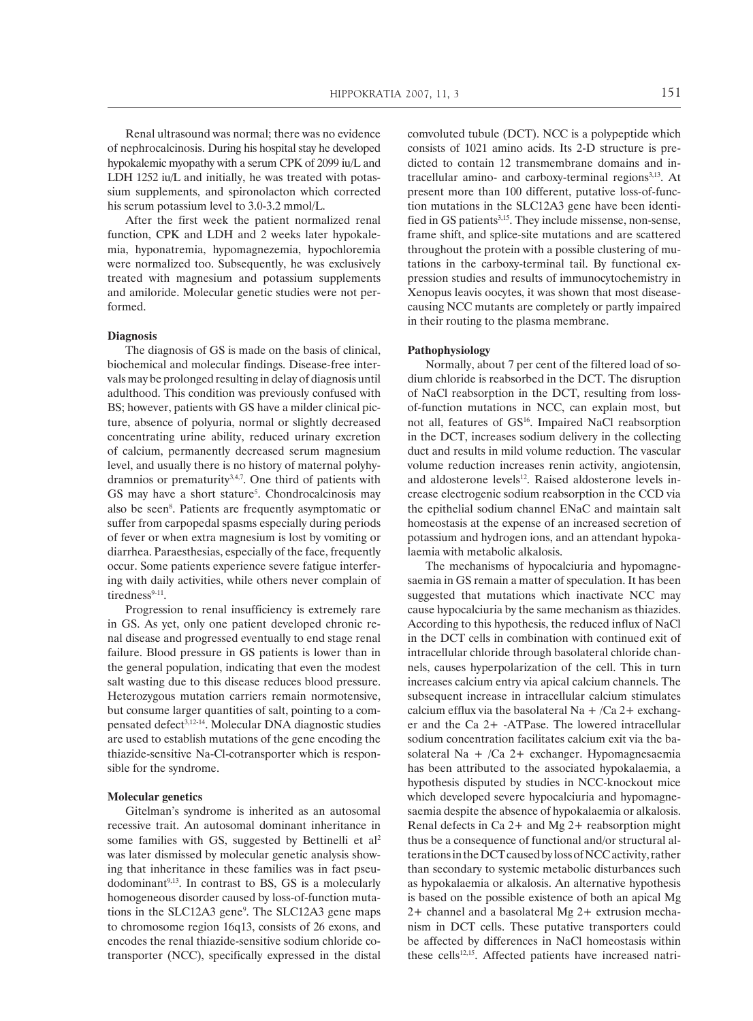Renal ultrasound was normal; there was no evidence of nephrocalcinosis. During his hospital stay he developed hypokalemic myopathy with a serum CPK of 2099 iu/L and LDH 1252 iu/L and initially, he was treated with potassium supplements, and spironolacton which corrected his serum potassium level to 3.0-3.2 mmol/L.

After the first week the patient normalized renal function, CPK and LDH and 2 weeks later hypokalemia, hyponatremia, hypomagnezemia, hypochloremia were normalized too. Subsequently, he was exclusively treated with magnesium and potassium supplements and amiloride. Molecular genetic studies were not performed.

#### **Diagnosis**

The diagnosis of GS is made on the basis of clinical, biochemical and molecular findings. Disease-free intervals may be prolonged resulting in delay of diagnosis until adulthood. This condition was previously confused with BS; however, patients with GS have a milder clinical picture, absence of polyuria, normal or slightly decreased concentrating urine ability, reduced urinary excretion of calcium, permanently decreased serum magnesium level, and usually there is no history of maternal polyhydramnios or prematurity $3,4,7$ . One third of patients with GS may have a short stature<sup>5</sup>. Chondrocalcinosis may also be seen<sup>8</sup>. Patients are frequently asymptomatic or suffer from carpopedal spasms especially during periods of fever or when extra magnesium is lost by vomiting or diarrhea. Paraesthesias, especially of the face, frequently occur. Some patients experience severe fatigue interfering with daily activities, while others never complain of tiredness<sup>9-11</sup>.

Progression to renal insufficiency is extremely rare in GS. As yet, only one patient developed chronic renal disease and progressed eventually to end stage renal failure. Blood pressure in GS patients is lower than in the general population, indicating that even the modest salt wasting due to this disease reduces blood pressure. Heterozygous mutation carriers remain normotensive, but consume larger quantities of salt, pointing to a compensated defect3,12-14. Molecular DNA diagnostic studies are used to establish mutations of the gene encoding the thiazide-sensitive Na-Cl-cotransporter which is responsible for the syndrome.

#### **Molecular genetics**

Gitelman's syndrome is inherited as an autosomal recessive trait. An autosomal dominant inheritance in some families with GS, suggested by Bettinelli et al<sup>2</sup> was later dismissed by molecular genetic analysis showing that inheritance in these families was in fact pseu $d$ odominant<sup>9,13</sup>. In contrast to BS, GS is a molecularly homogeneous disorder caused by loss-of-function mutations in the SLC12A3 gene<sup>9</sup>. The SLC12A3 gene maps to chromosome region 16q13, consists of 26 exons, and encodes the renal thiazide-sensitive sodium chloride cotransporter (NCC), specifically expressed in the distal

comvoluted tubule (DCT). NCC is a polypeptide which consists of 1021 amino acids. Its 2-D structure is predicted to contain 12 transmembrane domains and intracellular amino- and carboxy-terminal regions<sup>3,13</sup>. At present more than 100 different, putative loss-of-function mutations in the SLC12A3 gene have been identified in GS patients<sup>3,15</sup>. They include missense, non-sense, frame shift, and splice-site mutations and are scattered throughout the protein with a possible clustering of mutations in the carboxy-terminal tail. By functional expression studies and results of immunocytochemistry in Xenopus leavis oocytes, it was shown that most diseasecausing NCC mutants are completely or partly impaired in their routing to the plasma membrane.

#### **Pathophysiology**

Normally, about 7 per cent of the filtered load of sodium chloride is reabsorbed in the DCT. The disruption of NaCl reabsorption in the DCT, resulting from lossof-function mutations in NCC, can explain most, but not all, features of GS<sup>16</sup>. Impaired NaCl reabsorption in the DCT, increases sodium delivery in the collecting duct and results in mild volume reduction. The vascular volume reduction increases renin activity, angiotensin, and aldosterone levels<sup>12</sup>. Raised aldosterone levels increase electrogenic sodium reabsorption in the CCD via the epithelial sodium channel ENaC and maintain salt homeostasis at the expense of an increased secretion of potassium and hydrogen ions, and an attendant hypokalaemia with metabolic alkalosis.

The mechanisms of hypocalciuria and hypomagnesaemia in GS remain a matter of speculation. It has been suggested that mutations which inactivate NCC may cause hypocalciuria by the same mechanism as thiazides. According to this hypothesis, the reduced influx of NaCl in the DCT cells in combination with continued exit of intracellular chloride through basolateral chloride channels, causes hyperpolarization of the cell. This in turn increases calcium entry via apical calcium channels. The subsequent increase in intracellular calcium stimulates calcium efflux via the basolateral Na +  $/Ca$  2+ exchanger and the Ca 2+ -ATPase. The lowered intracellular sodium concentration facilitates calcium exit via the basolateral Na + /Ca 2+ exchanger. Hypomagnesaemia has been attributed to the associated hypokalaemia, a hypothesis disputed by studies in NCC-knockout mice which developed severe hypocalciuria and hypomagnesaemia despite the absence of hypokalaemia or alkalosis. Renal defects in Ca 2+ and Mg 2+ reabsorption might thus be a consequence of functional and/or structural alterations in the DCT caused by loss of NCC activity, rather than secondary to systemic metabolic disturbances such as hypokalaemia or alkalosis. An alternative hypothesis is based on the possible existence of both an apical Mg 2+ channel and a basolateral Mg 2+ extrusion mechanism in DCT cells. These putative transporters could be affected by differences in NaCl homeostasis within these cells<sup>12,15</sup>. Affected patients have increased natri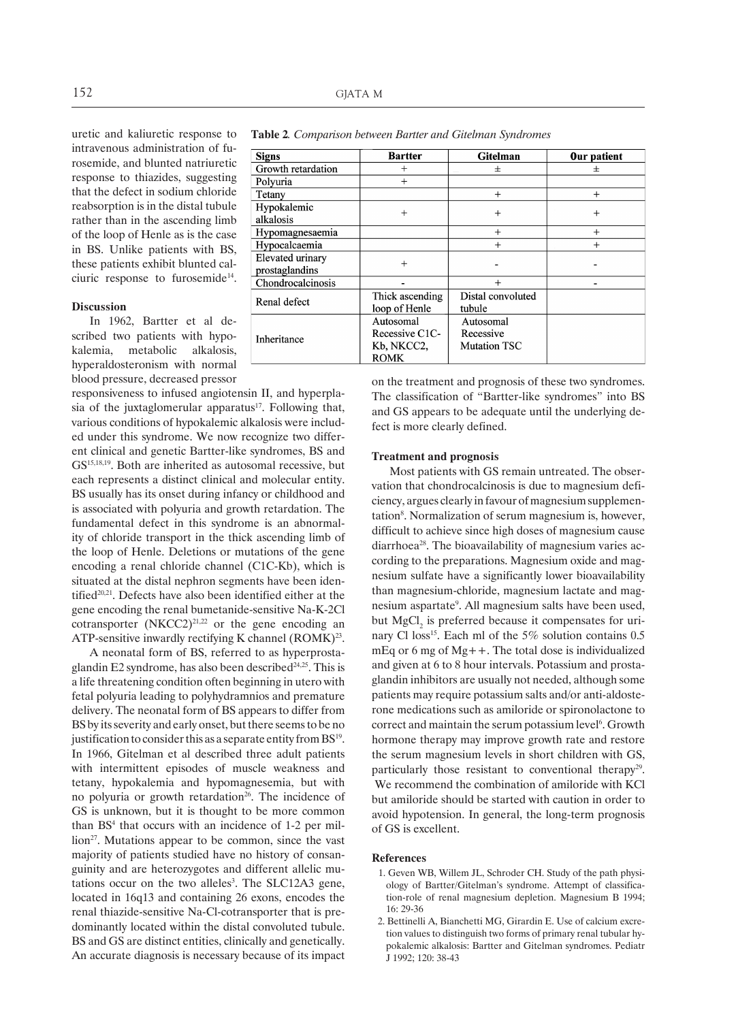uretic and kaliuretic response to intravenous administration of furosemide, and blunted natriuretic response to thiazides, suggesting that the defect in sodium chloride reabsorption is in the distal tubule rather than in the ascending limb of the loop of Henle as is the case in BS. Unlike patients with BS, these patients exhibit blunted calciuric response to furosemide<sup>14</sup>.

#### **Discussion**

In 1962, Bartter et al described two patients with hypokalemia, metabolic alkalosis, hyperaldosteronism with normal blood pressure, decreased pressor

responsiveness to infused angiotensin II, and hyperplasia of the juxtaglomerular apparatus $17$ . Following that, various conditions of hypokalemic alkalosis were included under this syndrome. We now recognize two different clinical and genetic Bartter-like syndromes, BS and GS15,18,19. Both are inherited as autosomal recessive, but each represents a distinct clinical and molecular entity. BS usually has its onset during infancy or childhood and is associated with polyuria and growth retardation. The fundamental defect in this syndrome is an abnormality of chloride transport in the thick ascending limb of the loop of Henle. Deletions or mutations of the gene encoding a renal chloride channel (C1C-Kb), which is situated at the distal nephron segments have been identified<sup>20,21</sup>. Defects have also been identified either at the gene encoding the renal bumetanide-sensitive Na-K-2Cl cotransporter  $(NKCC2)^{21,22}$  or the gene encoding an ATP-sensitive inwardly rectifying K channel  $(ROMK)^{23}$ .

A neonatal form of BS, referred to as hyperprostaglandin E2 syndrome, has also been described $24,25$ . This is a life threatening condition often beginning in utero with fetal polyuria leading to polyhydramnios and premature delivery. The neonatal form of BS appears to differ from BS by its severity and early onset, but there seems to be no justification to consider this as a separate entity from  $BS<sup>19</sup>$ . In 1966, Gitelman et al described three adult patients with intermittent episodes of muscle weakness and tetany, hypokalemia and hypomagnesemia, but with no polyuria or growth retardation<sup>26</sup>. The incidence of GS is unknown, but it is thought to be more common than BS<sup>4</sup> that occurs with an incidence of 1-2 per mil- $\lim^{27}$ . Mutations appear to be common, since the vast majority of patients studied have no history of consanguinity and are heterozygotes and different allelic mutations occur on the two alleles<sup>3</sup>. The SLC12A3 gene, located in 16q13 and containing 26 exons, encodes the renal thiazide-sensitive Na-Cl-cotransporter that is predominantly located within the distal convoluted tubule. BS and GS are distinct entities, clinically and genetically. An accurate diagnosis is necessary because of its impact

on the treatment and prognosis of these two syndromes. The classification of "Bartter-like syndromes" into BS and GS appears to be adequate until the underlying de-

#### **Treatment and prognosis**

fect is more clearly defined.

Most patients with GS remain untreated. The observation that chondrocalcinosis is due to magnesium deficiency, argues clearly in favour of magnesium supplementation<sup>8</sup>. Normalization of serum magnesium is, however, difficult to achieve since high doses of magnesium cause diarrhoea<sup>28</sup>. The bioavailability of magnesium varies according to the preparations. Magnesium oxide and magnesium sulfate have a significantly lower bioavailability than magnesium-chloride, magnesium lactate and magnesium aspartate<sup>9</sup>. All magnesium salts have been used, but  $MgCl<sub>2</sub>$  is preferred because it compensates for urinary Cl loss<sup>15</sup>. Each ml of the 5% solution contains 0.5 mEq or 6 mg of Mg++. The total dose is individualized and given at 6 to 8 hour intervals. Potassium and prostaglandin inhibitors are usually not needed, although some patients may require potassium salts and/or anti-aldosterone medications such as amiloride or spironolactone to correct and maintain the serum potassium level<sup>6</sup>. Growth hormone therapy may improve growth rate and restore the serum magnesium levels in short children with GS, particularly those resistant to conventional therapy<sup>29</sup>. We recommend the combination of amiloride with KCl but amiloride should be started with caution in order to avoid hypotension. In general, the long-term prognosis of GS is excellent.

#### **References**

- 1. Geven WB, Willem JL, Schroder CH. Study of the path physiology of Bartter/Gitelman's syndrome. Attempt of classification-role of renal magnesium depletion. Magnesium B 1994; 16: 29-36
- 2. Bettinelli A, Bianchetti MG, Girardin E. Use of calcium excretion values to distinguish two forms of primary renal tubular hypokalemic alkalosis: Bartter and Gitelman syndromes. Pediatr J 1992; 120: 38-43

| <b>Signs</b>            | <b>Bartter</b>  | <b>Gitelman</b>     | Our patient |
|-------------------------|-----------------|---------------------|-------------|
| Growth retardation      | $^{+}$          | 士                   | $^{+}$      |
| Polyuria                | $^{+}$          |                     |             |
| Tetany                  |                 | $+$                 | $+$         |
| Hypokalemic             | $^{+}$          | $^{+}$              | $^{+}$      |
| alkalosis               |                 |                     |             |
| Hypomagnesaemia         |                 | $+$                 | $^{+}$      |
| Hypocalcaemia           |                 | $^{+}$              | $+$         |
| <b>Elevated urinary</b> | $^{+}$          |                     |             |
| prostaglandins          |                 |                     |             |
| Chondrocalcinosis       |                 | $^{+}$              |             |
| Renal defect            | Thick ascending | Distal convoluted   |             |
|                         | loop of Henle   | tubule              |             |
| Inheritance             | Autosomal       | Autosomal           |             |
|                         | Recessive C1C-  | Recessive           |             |
|                         | Kb, NKCC2,      | <b>Mutation TSC</b> |             |
|                         | <b>ROMK</b>     |                     |             |

**Table 2***. Comparison between Bartter and Gitelman Syndromes*